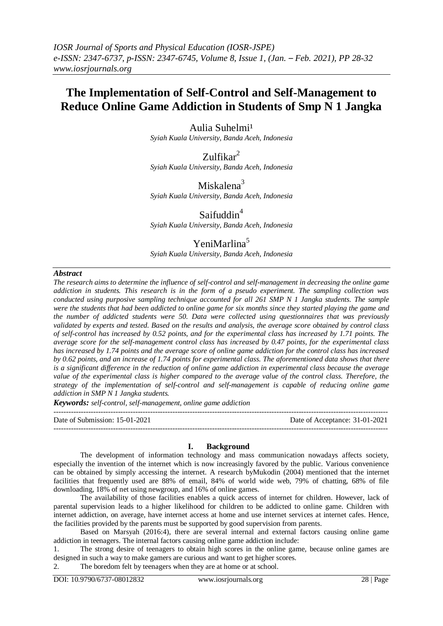# **The Implementation of Self-Control and Self-Management to Reduce Online Game Addiction in Students of Smp N 1 Jangka**

Aulia Suhelmi<sup>1</sup> *Syiah Kuala University, Banda Aceh, Indonesia*

 $Zulfikar<sup>2</sup>$ *Syiah Kuala University, Banda Aceh, Indonesia*

Miskalena<sup>3</sup> *Syiah Kuala University, Banda Aceh, Indonesia*

Saifuddin<sup>4</sup> *Syiah Kuala University, Banda Aceh, Indonesia*

# YeniMarlina<sup>5</sup>

*Syiah Kuala University, Banda Aceh, Indonesia*

#### *Abstract*

*The research aims to determine the influence of self-control and self-management in decreasing the online game addiction in students. This research is in the form of a pseudo experiment. The sampling collection was conducted using purposive sampling technique accounted for all 261 SMP N 1 Jangka students. The sample were the students that had been addicted to online game for six months since they started playing the game and the number of addicted students were 50. Data were collected using questionnaires that was previously validated by experts and tested. Based on the results and analysis, the average score obtained by control class of self-control has increased by 0.52 points, and for the experimental class has increased by 1.71 points. The average score for the self-management control class has increased by 0.47 points, for the experimental class has increased by 1.74 points and the average score of online game addiction for the control class has increased by 0.62 points, and an increase of 1.74 points for experimental class. The aforementioned data shows that there is a significant difference in the reduction of online game addiction in experimental class because the average value of the experimental class is higher compared to the average value of the control class. Therefore, the strategy of the implementation of self-control and self-management is capable of reducing online game addiction in SMP N 1 Jangka students.*

*Keywords: self-control, self-management, online game addiction*

---------------------------------------------------------------------------------------------------------------------------------------

Date of Submission: 15-01-2021 Date of Acceptance: 31-01-2021

## **I. Background**

---------------------------------------------------------------------------------------------------------------------------------------

The development of information technology and mass communication nowadays affects society, especially the invention of the internet which is now increasingly favored by the public. Various convenience can be obtained by simply accessing the internet. A research byMukodin (2004) mentioned that the internet facilities that frequently used are 88% of email, 84% of world wide web, 79% of chatting, 68% of file downloading, 18% of net using newgroup, and 16% of online games.

The availability of those facilities enables a quick access of internet for children. However, lack of parental supervision leads to a higher likelihood for children to be addicted to online game. Children with internet addiction, on average, have internet access at home and use internet services at internet cafes. Hence, the facilities provided by the parents must be supported by good supervision from parents.

Based on Marsyah (2016:4), there are several internal and external factors causing online game addiction in teenagers. The internal factors causing online game addiction include:

1. The strong desire of teenagers to obtain high scores in the online game, because online games are designed in such a way to make gamers are curious and want to get higher scores.

2. The boredom felt by teenagers when they are at home or at school.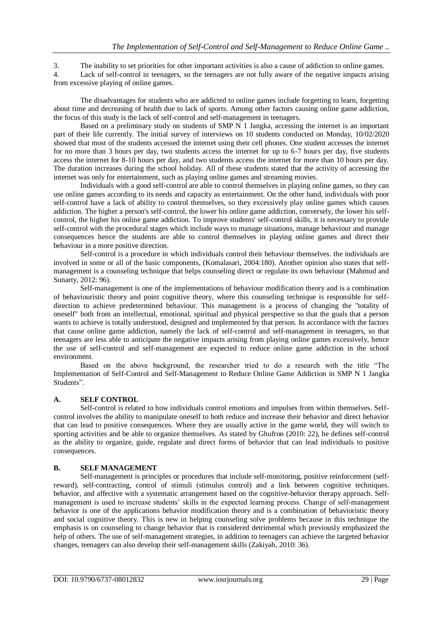3. The inability to set priorities for other important activities is also a cause of addiction to online games.

4. Lack of self-control in teenagers, so the teenagers are not fully aware of the negative impacts arising from excessive playing of online games.

The disadvantages for students who are addicted to online games include forgetting to learn, forgetting about time and decreasing of health due to lack of sports. Among other factors causing online game addiction, the focus of this study is the lack of self-control and self-management in teenagers.

Based on a preliminary study on students of SMP N 1 Jangka, accessing the internet is an important part of their life currently. The initial survey of interviews on 10 students conducted on Monday, 10/02/2020 showed that most of the students accessed the internet using their cell phones. One student accesses the internet for no more than 3 hours per day, two students access the internet for up to 6-7 hours per day, five students access the internet for 8-10 hours per day, and two students access the internet for more than 10 hours per day. The duration increases during the school holiday. All of these students stated that the activity of accessing the internet was only for entertainment, such as playing online games and streaming movies.

Individuals with a good self-control are able to control themselves in playing online games, so they can use online games according to its needs and capacity as entertainment. On the other hand, individuals with poor self-control have a lack of ability to control themselves, so they excessively play online games which causes addiction. The higher a person's self-control, the lower his online game addiction, conversely, the lower his selfcontrol, the higher his online game addiction. To improve students' self-control skills, it is necessary to provide self-control with the procedural stages which include ways to manage situations, manage behaviour and manage consequences hence the students are able to control themselves in playing online games and direct their behaviour in a more positive direction.

Self-control is a procedure in which individuals control their behaviour themselves. the individuals are involved in some or all of the basic components, (Komalasari, 2004:180). Another opinion also states that selfmanagement is a counseling technique that helps counseling direct or regulate its own behaviour (Mahmud and Sunarty, 2012: 96).

Self-management is one of the implementations of behaviour modification theory and is a combination of behaviouristic theory and point cognitive theory, where this counseling technique is responsible for selfdirection to achieve predetermined behaviour. This management is a process of changing the "totality of oneself" both from an intellectual, emotional, spiritual and physical perspective so that the goals that a person wants to achieve is totally understood, designed and implemented by that person. In accordance with the factors that cause online game addiction, namely the lack of self-control and self-management in teenagers, so that teenagers are less able to anticipate the negative impacts arising from playing online games excessively, hence the use of self-control and self-management are expected to reduce online game addiction in the school environment.

Based on the above background, the researcher tried to do a research with the title "The Implementation of Self-Control and Self-Management to Reduce Online Game Addiction in SMP N 1 Jangka Students".

## **A. SELF CONTROL**

Self-control is related to how individuals control emotions and impulses from within themselves. Selfcontrol involves the ability to manipulate oneself to both reduce and increase their behavior and direct behavior that can lead to positive consequences. Where they are usually active in the game world, they will switch to sporting activities and be able to organize themselves. As stated by Ghufron (2010: 22), he defines self-control as the ability to organize, guide, regulate and direct forms of behavior that can lead individuals to positive consequences.

#### **B. SELF MANAGEMENT**

Self-management is principles or procedures that include self-monitoring, positive reinforcement (selfreward), self-contracting, control of stimuli (stimulus control) and a link between cognitive techniques. behavior, and affective with a systematic arrangement based on the cognitive-behavior therapy approach. Selfmanagement is used to increase students' skills in the expected learning process. Change of self-management behavior is one of the applications behavior modification theory and is a combination of behavioristic theory and social cognitive theory. This is new in helping counseling solve problems because in this technique the emphasis is on counseling to change behavior that is considered detrimental which previously emphasized the help of others. The use of self-management strategies, in addition to teenagers can achieve the targeted behavior changes, teenagers can also develop their self-management skills (Zakiyah, 2010: 36).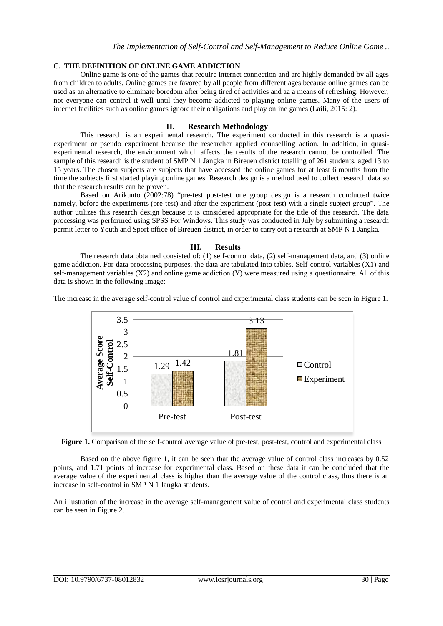#### **C. THE DEFINITION OF ONLINE GAME ADDICTION**

Online game is one of the games that require internet connection and are highly demanded by all ages from children to adults. Online games are favored by all people from different ages because online games can be used as an alternative to eliminate boredom after being tired of activities and aa a means of refreshing. However, not everyone can control it well until they become addicted to playing online games. Many of the users of internet facilities such as online games ignore their obligations and play online games (Laili, 2015: 2).

#### **II. Research Methodology**

This research is an experimental research. The experiment conducted in this research is a quasiexperiment or pseudo experiment because the researcher applied counselling action. In addition, in quasiexperimental research, the environment which affects the results of the research cannot be controlled. The sample of this research is the student of SMP N 1 Jangka in Bireuen district totalling of 261 students, aged 13 to 15 years. The chosen subjects are subjects that have accessed the online games for at least 6 months from the time the subjects first started playing online games. Research design is a method used to collect research data so that the research results can be proven.

Based on Arikunto (2002:78) "pre-test post-test one group design is a research conducted twice namely, before the experiments (pre-test) and after the experiment (post-test) with a single subject group". The author utilizes this research design because it is considered appropriate for the title of this research. The data processing was performed using SPSS For Windows. This study was conducted in July by submitting a research permit letter to Youth and Sport office of Bireuen district, in order to carry out a research at SMP N 1 Jangka.

#### **III. Results**

The research data obtained consisted of: (1) self-control data, (2) self-management data, and (3) online game addiction. For data processing purposes, the data are tabulated into tables. Self-control variables (X1) and self-management variables (X2) and online game addiction (Y) were measured using a questionnaire. All of this data is shown in the following image:

The increase in the average self-control value of control and experimental class students can be seen in Figure 1.



**Figure 1.** Comparison of the self-control average value of pre-test, post-test, control and experimental class

Based on the above figure 1, it can be seen that the average value of control class increases by 0.52 points, and 1.71 points of increase for experimental class. Based on these data it can be concluded that the average value of the experimental class is higher than the average value of the control class, thus there is an increase in self-control in SMP N 1 Jangka students.

An illustration of the increase in the average self-management value of control and experimental class students can be seen in Figure 2.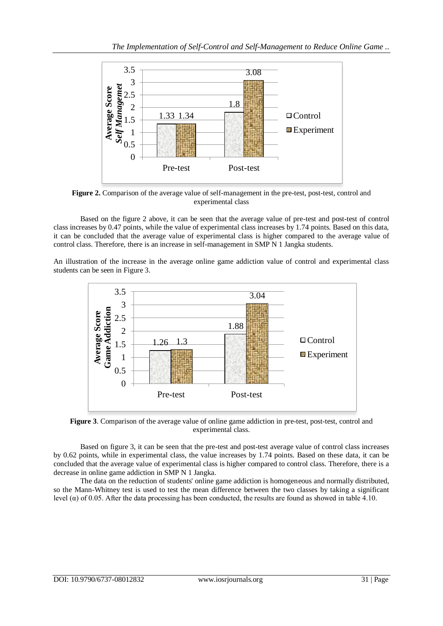

**Figure 2.** Comparison of the average value of self-management in the pre-test, post-test, control and experimental class

Based on the figure 2 above, it can be seen that the average value of pre-test and post-test of control class increases by 0.47 points, while the value of experimental class increases by 1.74 points. Based on this data, it can be concluded that the average value of experimental class is higher compared to the average value of control class. Therefore, there is an increase in self-management in SMP N 1 Jangka students.

An illustration of the increase in the average online game addiction value of control and experimental class students can be seen in Figure 3.



**Figure 3**. Comparison of the average value of online game addiction in pre-test, post-test, control and experimental class.

Based on figure 3, it can be seen that the pre-test and post-test average value of control class increases by 0.62 points, while in experimental class, the value increases by 1.74 points. Based on these data, it can be concluded that the average value of experimental class is higher compared to control class. Therefore, there is a decrease in online game addiction in SMP N 1 Jangka.

The data on the reduction of students' online game addiction is homogeneous and normally distributed, so the Mann-Whitney test is used to test the mean difference between the two classes by taking a significant level (α) of 0.05. After the data processing has been conducted, the results are found as showed in table 4.10.